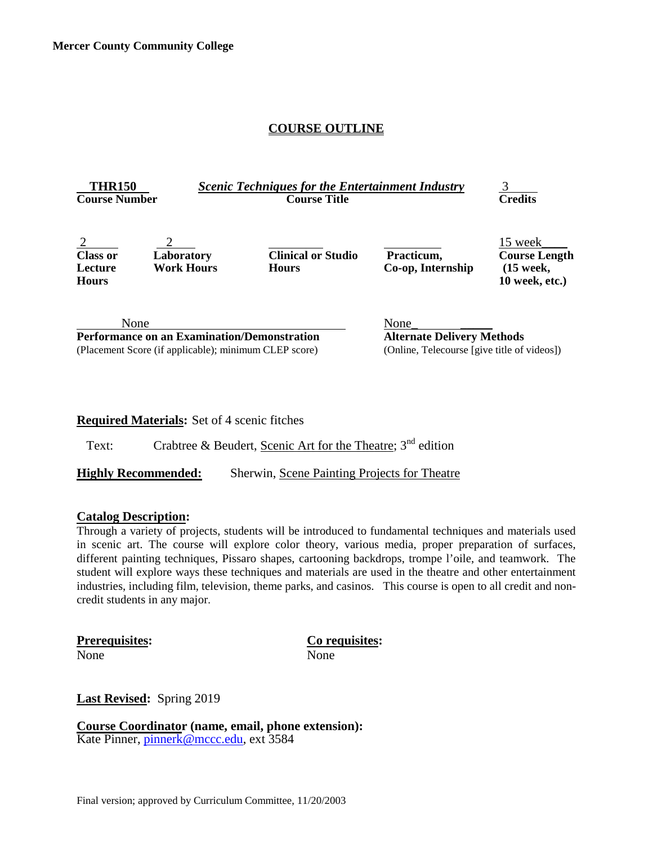#### **COURSE OUTLINE**

| <b>THR150</b><br><b>Course Number</b>                                                                               |                                 | <b>Scenic Techniques for the Entertainment Industry</b><br><b>Course Title</b> |                                                                                          | <b>Credits</b>                                                   |
|---------------------------------------------------------------------------------------------------------------------|---------------------------------|--------------------------------------------------------------------------------|------------------------------------------------------------------------------------------|------------------------------------------------------------------|
| 2<br><b>Class or</b><br>Lecture<br><b>Hours</b>                                                                     | Laboratory<br><b>Work Hours</b> | <b>Clinical or Studio</b><br><b>Hours</b>                                      | Practicum,<br>Co-op, Internship                                                          | 15 week<br><b>Course Length</b><br>$(15$ week,<br>10 week, etc.) |
| None<br><b>Performance on an Examination/Demonstration</b><br>(Placement Score (if applicable); minimum CLEP score) |                                 |                                                                                | None<br><b>Alternate Delivery Methods</b><br>(Online, Telecourse [give title of videos]) |                                                                  |

#### **Required Materials:** Set of 4 scenic fitches

Text: Crabtree & Beudert, Scenic Art for the Theatre;  $3<sup>nd</sup>$  edition

**Highly Recommended:** Sherwin, Scene Painting Projects for Theatre

#### **Catalog Description:**

Through a variety of projects, students will be introduced to fundamental techniques and materials used in scenic art. The course will explore color theory, various media, proper preparation of surfaces, different painting techniques, Pissaro shapes, cartooning backdrops, trompe l'oile, and teamwork. The student will explore ways these techniques and materials are used in the theatre and other entertainment industries, including film, television, theme parks, and casinos. This course is open to all credit and noncredit students in any major.

**Prerequisites: Co requisites:** None None

**Last Revised:** Spring 2019

**Course Coordinator (name, email, phone extension):**<br>Kate Pinner, *pinnerk@mccc.edu*, ext 3584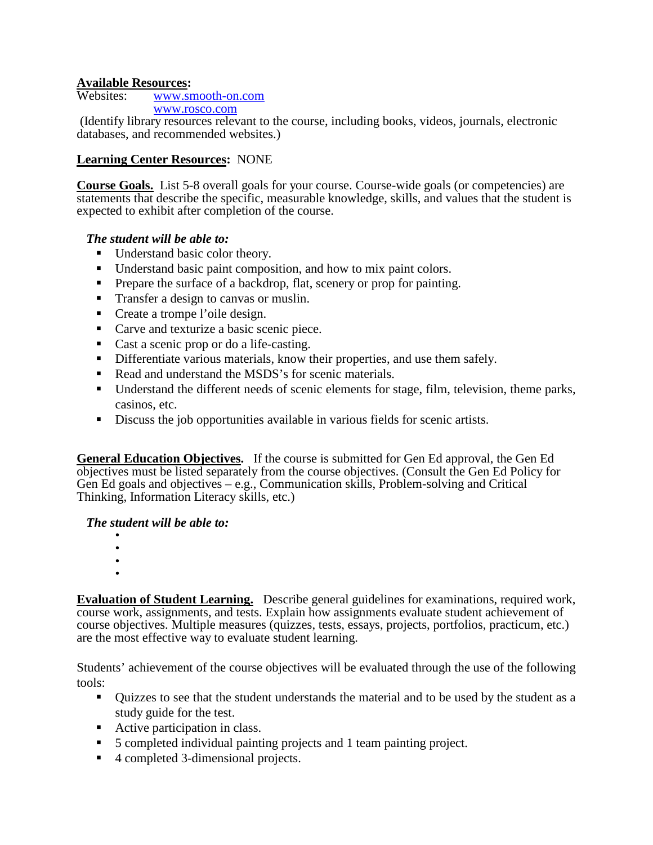# **Available Resources:**

[www.smooth-on.com](http://www.smooth-on.com/) [www.rosco.com](http://www.rosco.com/)

(Identify library resources relevant to the course, including books, videos, journals, electronic databases, and recommended websites.)

## **Learning Center Resources:** NONE

**Course Goals.** List 5-8 overall goals for your course. Course-wide goals (or competencies) are statements that describe the specific, measurable knowledge, skills, and values that the student is expected to exhibit after completion of the course.

## *The student will be able to:*

- Understand basic color theory.
- Understand basic paint composition, and how to mix paint colors.
- Prepare the surface of a backdrop, flat, scenery or prop for painting.
- **Transfer a design to canvas or muslin.**
- Create a trompe l'oile design.
- Carve and texturize a basic scenic piece.
- Cast a scenic prop or do a life-casting.
- Differentiate various materials, know their properties, and use them safely.
- Read and understand the MSDS's for scenic materials.
- Understand the different needs of scenic elements for stage, film, television, theme parks, casinos, etc.
- Discuss the job opportunities available in various fields for scenic artists.

**General Education Objectives.** If the course is submitted for Gen Ed approval, the Gen Ed objectives must be listed separately from the course objectives. (Consult the Gen Ed Policy for Gen Ed goals and objectives – e.g., Communication skills, Problem-solving and Critical Thinking, Information Literacy skills, etc.)

#### *The student will be able to:*

- -
- •
- •

**Evaluation of Student Learning.** Describe general guidelines for examinations, required work, course work, assignments, and tests. Explain how assignments evaluate student achievement of course objectives. Multiple measures (quizzes, tests, essays, projects, portfolios, practicum, etc.) are the most effective way to evaluate student learning.

Students' achievement of the course objectives will be evaluated through the use of the following tools:

- Quizzes to see that the student understands the material and to be used by the student as a study guide for the test.
- Active participation in class.
- 5 completed individual painting projects and 1 team painting project.
- 4 completed 3-dimensional projects.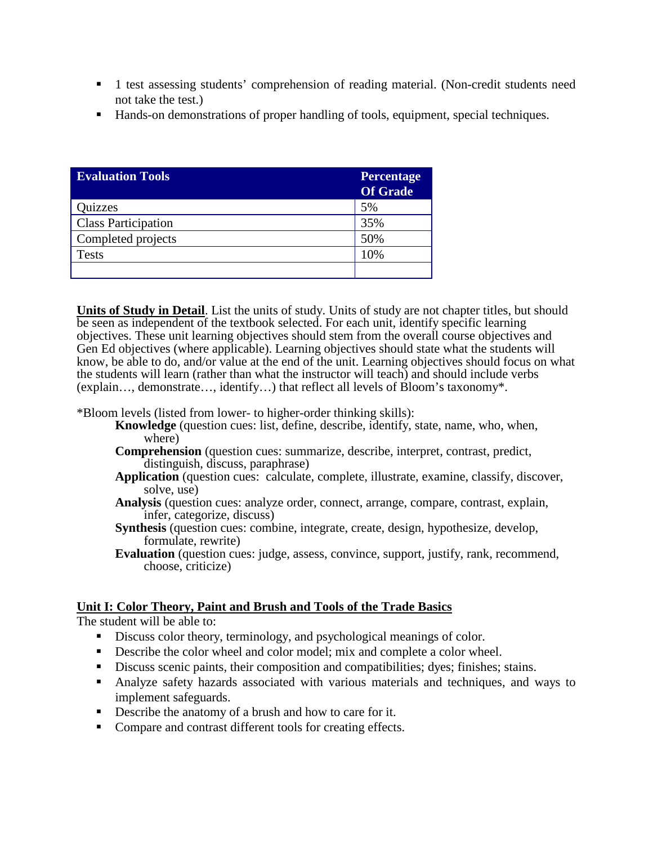- 1 test assessing students' comprehension of reading material. (Non-credit students need not take the test.)
- Hands-on demonstrations of proper handling of tools, equipment, special techniques.

| <b>Evaluation Tools</b>    | <b>Percentage</b><br><b>Of Grade</b> |
|----------------------------|--------------------------------------|
| <b>Quizzes</b>             | 5%                                   |
| <b>Class Participation</b> | 35%                                  |
| Completed projects         | 50%                                  |
| <b>Tests</b>               | 10%                                  |
|                            |                                      |

**Units of Study in Detail**. List the units of study. Units of study are not chapter titles, but should be seen as independent of the textbook selected. For each unit, identify specific learning objectives. These unit learning objectives should stem from the overall course objectives and Gen Ed objectives (where applicable). Learning objectives should state what the students will know, be able to do, and/or value at the end of the unit. Learning objectives should focus on what the students will learn (rather than what the instructor will teach) and should include verbs (explain…, demonstrate…, identify…) that reflect all levels of Bloom's taxonomy\*.

\*Bloom levels (listed from lower- to higher-order thinking skills):

- **Knowledge** (question cues: list, define, describe, identify, state, name, who, when, where)
- **Comprehension** (question cues: summarize, describe, interpret, contrast, predict, distinguish, discuss, paraphrase)
- **Application** (question cues: calculate, complete, illustrate, examine, classify, discover, solve, use)
- **Analysis** (question cues: analyze order, connect, arrange, compare, contrast, explain, infer, categorize, discuss)
- **Synthesis** (question cues: combine, integrate, create, design, hypothesize, develop, formulate, rewrite)
- **Evaluation** (question cues: judge, assess, convince, support, justify, rank, recommend, choose, criticize)

## **Unit I: Color Theory, Paint and Brush and Tools of the Trade Basics**

The student will be able to:

- Discuss color theory, terminology, and psychological meanings of color.
- Describe the color wheel and color model; mix and complete a color wheel.
- Discuss scenic paints, their composition and compatibilities; dyes; finishes; stains.
- Analyze safety hazards associated with various materials and techniques, and ways to implement safeguards.
- Describe the anatomy of a brush and how to care for it.
- Compare and contrast different tools for creating effects.